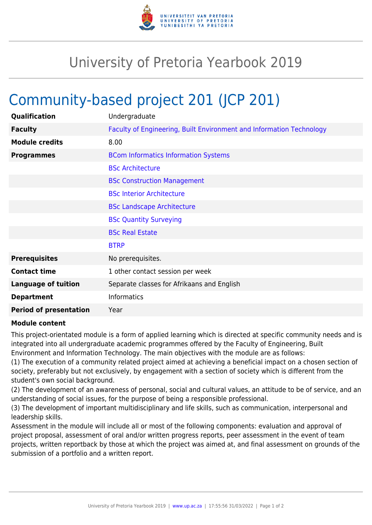

## University of Pretoria Yearbook 2019

## Community-based project 201 (JCP 201)

| Qualification                 | Undergraduate                                                        |
|-------------------------------|----------------------------------------------------------------------|
| <b>Faculty</b>                | Faculty of Engineering, Built Environment and Information Technology |
| <b>Module credits</b>         | 8.00                                                                 |
| <b>Programmes</b>             | <b>BCom Informatics Information Systems</b>                          |
|                               | <b>BSc Architecture</b>                                              |
|                               | <b>BSc Construction Management</b>                                   |
|                               | <b>BSc Interior Architecture</b>                                     |
|                               | <b>BSc Landscape Architecture</b>                                    |
|                               | <b>BSc Quantity Surveying</b>                                        |
|                               | <b>BSc Real Estate</b>                                               |
|                               | <b>BTRP</b>                                                          |
| <b>Prerequisites</b>          | No prerequisites.                                                    |
| <b>Contact time</b>           | 1 other contact session per week                                     |
| <b>Language of tuition</b>    | Separate classes for Afrikaans and English                           |
| <b>Department</b>             | <b>Informatics</b>                                                   |
| <b>Period of presentation</b> | Year                                                                 |

## **Module content**

This project-orientated module is a form of applied learning which is directed at specific community needs and is integrated into all undergraduate academic programmes offered by the Faculty of Engineering, Built Environment and Information Technology. The main objectives with the module are as follows:

(1) The execution of a community related project aimed at achieving a beneficial impact on a chosen section of society, preferably but not exclusively, by engagement with a section of society which is different from the student's own social background.

(2) The development of an awareness of personal, social and cultural values, an attitude to be of service, and an understanding of social issues, for the purpose of being a responsible professional.

(3) The development of important multidisciplinary and life skills, such as communication, interpersonal and leadership skills.

Assessment in the module will include all or most of the following components: evaluation and approval of project proposal, assessment of oral and/or written progress reports, peer assessment in the event of team projects, written reportback by those at which the project was aimed at, and final assessment on grounds of the submission of a portfolio and a written report.